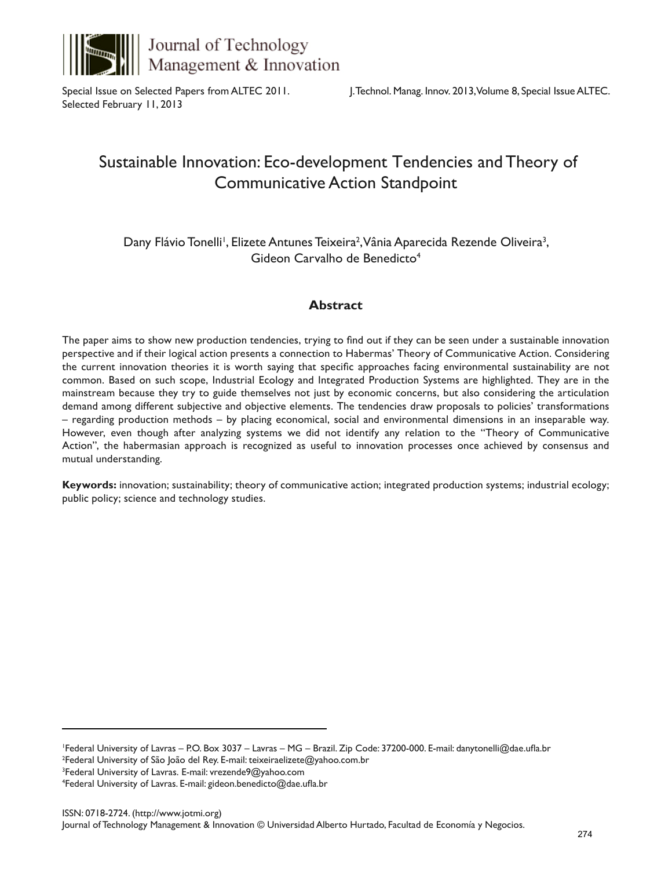

Journal of Technology Management & Innovation

Special Issue on Selected Papers from ALTEC 2011. Selected February 11, 2013

# Sustainable Innovation: Eco-development Tendencies and Theory of Communicative Action Standpoint

Dany Flávio Tonelli<sup>i</sup>, Elizete Antunes Teixeira<sup>2</sup>, Vânia Aparecida Rezende Oliveira<sup>3</sup>, Gideon Carvalho de Benedicto<sup>4</sup>

## **Abstract**

The paper aims to show new production tendencies, trying to find out if they can be seen under a sustainable innovation perspective and if their logical action presents a connection to Habermas' Theory of Communicative Action. Considering the current innovation theories it is worth saying that specific approaches facing environmental sustainability are not common. Based on such scope, Industrial Ecology and Integrated Production Systems are highlighted. They are in the mainstream because they try to guide themselves not just by economic concerns, but also considering the articulation demand among different subjective and objective elements. The tendencies draw proposals to policies' transformations – regarding production methods – by placing economical, social and environmental dimensions in an inseparable way. However, even though after analyzing systems we did not identify any relation to the "Theory of Communicative Action", the habermasian approach is recognized as useful to innovation processes once achieved by consensus and mutual understanding.

**Keywords:** innovation; sustainability; theory of communicative action; integrated production systems; industrial ecology; public policy; science and technology studies.

1 Federal University of Lavras – P.O. Box 3037 – Lavras – MG – Brazil. Zip Code: 37200-000. E-mail: danytonelli@dae.ufla.br 2 Federal University of São João del Rey. E-mail: teixeiraelizete@yahoo.com.br

4 Federal University of Lavras. E-mail: gideon.benedicto@dae.ufla.br

<sup>3</sup> Federal University of Lavras. E-mail: vrezende9@yahoo.com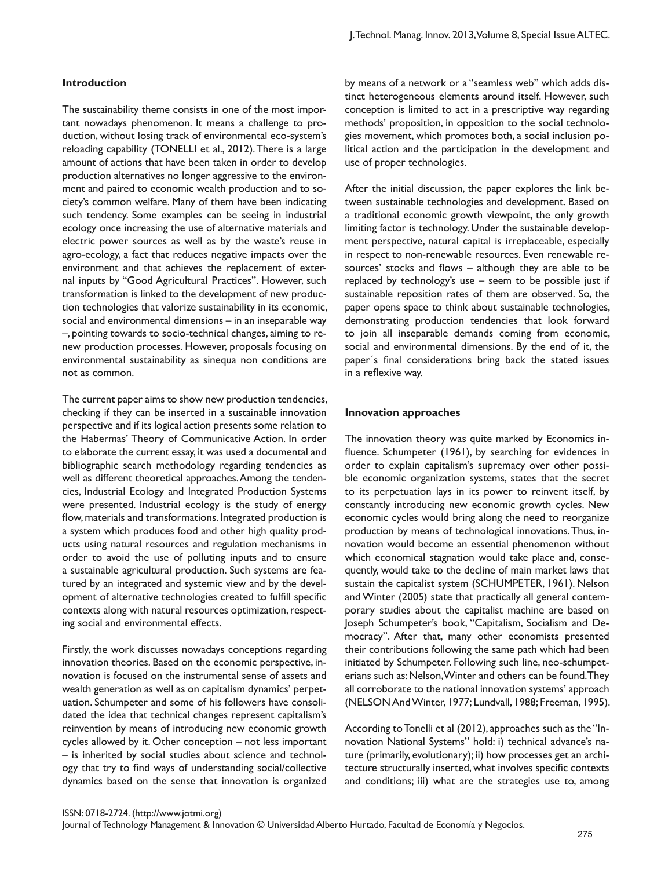#### **Introduction**

The sustainability theme consists in one of the most important nowadays phenomenon. It means a challenge to production, without losing track of environmental eco-system's reloading capability (TONELLI et al., 2012). There is a large amount of actions that have been taken in order to develop production alternatives no longer aggressive to the environment and paired to economic wealth production and to society's common welfare. Many of them have been indicating such tendency. Some examples can be seeing in industrial ecology once increasing the use of alternative materials and electric power sources as well as by the waste's reuse in agro-ecology, a fact that reduces negative impacts over the environment and that achieves the replacement of external inputs by "Good Agricultural Practices". However, such transformation is linked to the development of new production technologies that valorize sustainability in its economic, social and environmental dimensions – in an inseparable way –, pointing towards to socio-technical changes, aiming to renew production processes. However, proposals focusing on environmental sustainability as sinequa non conditions are not as common.

The current paper aims to show new production tendencies, checking if they can be inserted in a sustainable innovation perspective and if its logical action presents some relation to the Habermas' Theory of Communicative Action. In order to elaborate the current essay, it was used a documental and bibliographic search methodology regarding tendencies as well as different theoretical approaches. Among the tendencies, Industrial Ecology and Integrated Production Systems were presented. Industrial ecology is the study of energy flow, materials and transformations. Integrated production is a system which produces food and other high quality products using natural resources and regulation mechanisms in order to avoid the use of polluting inputs and to ensure a sustainable agricultural production. Such systems are featured by an integrated and systemic view and by the development of alternative technologies created to fulfill specific contexts along with natural resources optimization, respecting social and environmental effects.

Firstly, the work discusses nowadays conceptions regarding innovation theories. Based on the economic perspective, innovation is focused on the instrumental sense of assets and wealth generation as well as on capitalism dynamics' perpetuation. Schumpeter and some of his followers have consolidated the idea that technical changes represent capitalism's reinvention by means of introducing new economic growth cycles allowed by it. Other conception – not less important – is inherited by social studies about science and technology that try to find ways of understanding social/collective dynamics based on the sense that innovation is organized

by means of a network or a "seamless web" which adds distinct heterogeneous elements around itself. However, such conception is limited to act in a prescriptive way regarding methods' proposition, in opposition to the social technologies movement, which promotes both, a social inclusion political action and the participation in the development and use of proper technologies.

After the initial discussion, the paper explores the link between sustainable technologies and development. Based on a traditional economic growth viewpoint, the only growth limiting factor is technology. Under the sustainable development perspective, natural capital is irreplaceable, especially in respect to non-renewable resources. Even renewable resources' stocks and flows – although they are able to be replaced by technology's use – seem to be possible just if sustainable reposition rates of them are observed. So, the paper opens space to think about sustainable technologies, demonstrating production tendencies that look forward to join all inseparable demands coming from economic, social and environmental dimensions. By the end of it, the paper´s final considerations bring back the stated issues in a reflexive way.

#### **Innovation approaches**

The innovation theory was quite marked by Economics influence. Schumpeter (1961), by searching for evidences in order to explain capitalism's supremacy over other possible economic organization systems, states that the secret to its perpetuation lays in its power to reinvent itself, by constantly introducing new economic growth cycles. New economic cycles would bring along the need to reorganize production by means of technological innovations. Thus, innovation would become an essential phenomenon without which economical stagnation would take place and, consequently, would take to the decline of main market laws that sustain the capitalist system (SCHUMPETER, 1961). Nelson and Winter (2005) state that practically all general contemporary studies about the capitalist machine are based on Joseph Schumpeter's book, "Capitalism, Socialism and Democracy". After that, many other economists presented their contributions following the same path which had been initiated by Schumpeter. Following such line, neo-schumpeterians such as: Nelson, Winter and others can be found. They all corroborate to the national innovation systems' approach (NELSON And Winter, 1977; Lundvall, 1988; Freeman, 1995).

According to Tonelli et al (2012), approaches such as the "Innovation National Systems" hold: i) technical advance's nature (primarily, evolutionary); ii) how processes get an architecture structurally inserted, what involves specific contexts and conditions; iii) what are the strategies use to, among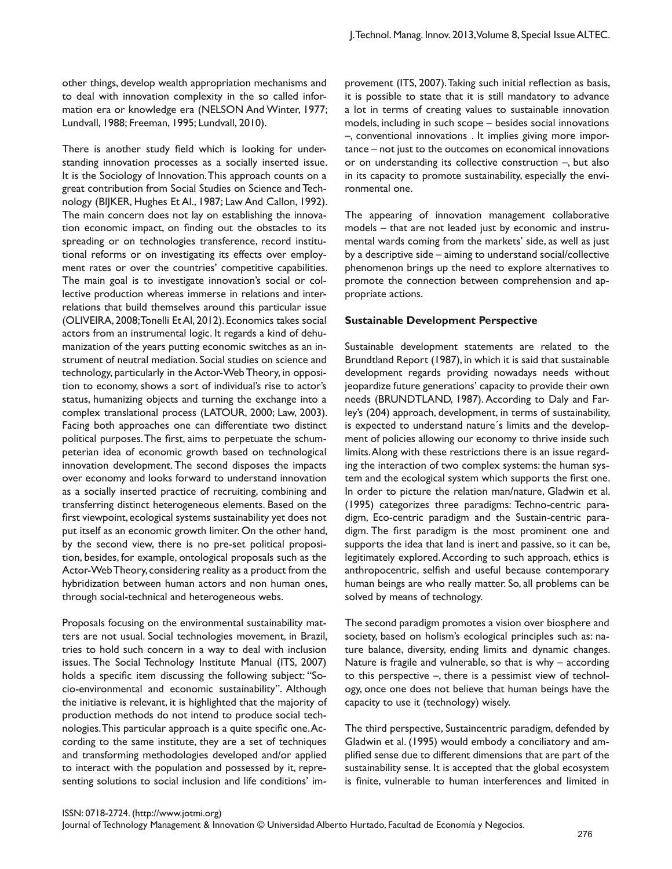other things, develop wealth appropriation mechanisms and to deal with innovation complexity in the so called information era or knowledge era (NELSON And Winter, 1977; Lundvall, 1988; Freeman, 1995; Lundvall, 2010).

There is another study field which is looking for understanding innovation processes as a socially inserted issue. It is the Sociology of Innovation. This approach counts on a great contribution from Social Studies on Science and Technology (BIJKER, Hughes Et Al., 1987; Law And Callon, 1992). The main concern does not lay on establishing the innovation economic impact, on finding out the obstacles to its spreading or on technologies transference, record institutional reforms or on investigating its effects over employment rates or over the countries' competitive capabilities. The main goal is to investigate innovation's social or collective production whereas immerse in relations and interrelations that build themselves around this particular issue (OLIVEIRA, 2008; Tonelli Et Al, 2012). Economics takes social actors from an instrumental logic. It regards a kind of dehumanization of the years putting economic switches as an instrument of neutral mediation. Social studies on science and technology, particularly in the Actor-Web Theory, in opposition to economy, shows a sort of individual's rise to actor's status, humanizing objects and turning the exchange into a complex translational process (LATOUR, 2000; Law, 2003). Facing both approaches one can differentiate two distinct political purposes. The first, aims to perpetuate the schumpeterian idea of economic growth based on technological innovation development. The second disposes the impacts over economy and looks forward to understand innovation as a socially inserted practice of recruiting, combining and transferring distinct heterogeneous elements. Based on the first viewpoint, ecological systems sustainability yet does not put itself as an economic growth limiter. On the other hand, by the second view, there is no pre-set political proposition, besides, for example, ontological proposals such as the Actor-Web Theory, considering reality as a product from the hybridization between human actors and non human ones, through social-technical and heterogeneous webs.

Proposals focusing on the environmental sustainability matters are not usual. Social technologies movement, in Brazil, tries to hold such concern in a way to deal with inclusion issues. The Social Technology Institute Manual (ITS, 2007) holds a specific item discussing the following subject: "Socio-environmental and economic sustainability". Although the initiative is relevant, it is highlighted that the majority of production methods do not intend to produce social technologies. This particular approach is a quite specific one. According to the same institute, they are a set of techniques and transforming methodologies developed and/or applied to interact with the population and possessed by it, representing solutions to social inclusion and life conditions' improvement (ITS, 2007). Taking such initial reflection as basis, it is possible to state that it is still mandatory to advance a lot in terms of creating values to sustainable innovation models, including in such scope – besides social innovations –, conventional innovations . It implies giving more importance – not just to the outcomes on economical innovations or on understanding its collective construction –, but also in its capacity to promote sustainability, especially the environmental one.

The appearing of innovation management collaborative models – that are not leaded just by economic and instrumental wards coming from the markets' side, as well as just by a descriptive side – aiming to understand social/collective phenomenon brings up the need to explore alternatives to promote the connection between comprehension and appropriate actions.

#### **Sustainable Development Perspective**

Sustainable development statements are related to the Brundtland Report (1987), in which it is said that sustainable development regards providing nowadays needs without jeopardize future generations' capacity to provide their own needs (BRUNDTLAND, 1987). According to Daly and Farley's (204) approach, development, in terms of sustainability, is expected to understand nature´s limits and the development of policies allowing our economy to thrive inside such limits. Along with these restrictions there is an issue regarding the interaction of two complex systems: the human system and the ecological system which supports the first one. In order to picture the relation man/nature, Gladwin et al. (1995) categorizes three paradigms: Techno-centric paradigm, Eco-centric paradigm and the Sustain-centric paradigm. The first paradigm is the most prominent one and supports the idea that land is inert and passive, so it can be, legitimately explored. According to such approach, ethics is anthropocentric, selfish and useful because contemporary human beings are who really matter. So, all problems can be solved by means of technology.

The second paradigm promotes a vision over biosphere and society, based on holism's ecological principles such as: nature balance, diversity, ending limits and dynamic changes. Nature is fragile and vulnerable, so that is why – according to this perspective –, there is a pessimist view of technology, once one does not believe that human beings have the capacity to use it (technology) wisely.

The third perspective, Sustaincentric paradigm, defended by Gladwin et al. (1995) would embody a conciliatory and amplified sense due to different dimensions that are part of the sustainability sense. It is accepted that the global ecosystem is finite, vulnerable to human interferences and limited in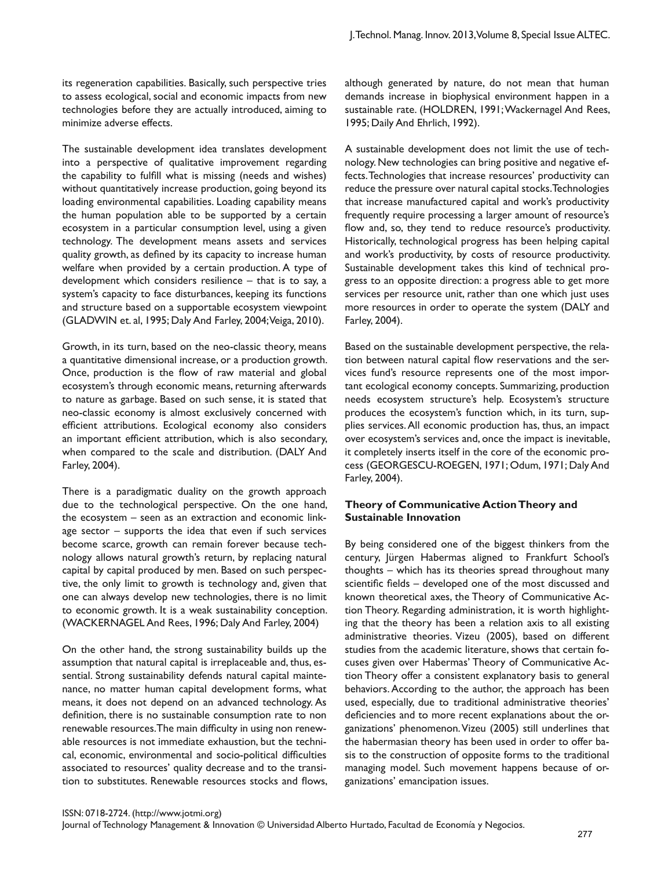its regeneration capabilities. Basically, such perspective tries to assess ecological, social and economic impacts from new technologies before they are actually introduced, aiming to minimize adverse effects.

The sustainable development idea translates development into a perspective of qualitative improvement regarding the capability to fulfill what is missing (needs and wishes) without quantitatively increase production, going beyond its loading environmental capabilities. Loading capability means the human population able to be supported by a certain ecosystem in a particular consumption level, using a given technology. The development means assets and services quality growth, as defined by its capacity to increase human welfare when provided by a certain production. A type of development which considers resilience – that is to say, a system's capacity to face disturbances, keeping its functions and structure based on a supportable ecosystem viewpoint (GLADWIN et. al, 1995; Daly And Farley, 2004; Veiga, 2010).

Growth, in its turn, based on the neo-classic theory, means a quantitative dimensional increase, or a production growth. Once, production is the flow of raw material and global ecosystem's through economic means, returning afterwards to nature as garbage. Based on such sense, it is stated that neo-classic economy is almost exclusively concerned with efficient attributions. Ecological economy also considers an important efficient attribution, which is also secondary, when compared to the scale and distribution. (DALY And Farley, 2004).

There is a paradigmatic duality on the growth approach due to the technological perspective. On the one hand, the ecosystem – seen as an extraction and economic linkage sector – supports the idea that even if such services become scarce, growth can remain forever because technology allows natural growth's return, by replacing natural capital by capital produced by men. Based on such perspective, the only limit to growth is technology and, given that one can always develop new technologies, there is no limit to economic growth. It is a weak sustainability conception. (WACKERNAGEL And Rees, 1996; Daly And Farley, 2004)

On the other hand, the strong sustainability builds up the assumption that natural capital is irreplaceable and, thus, essential. Strong sustainability defends natural capital maintenance, no matter human capital development forms, what means, it does not depend on an advanced technology. As definition, there is no sustainable consumption rate to non renewable resources. The main difficulty in using non renewable resources is not immediate exhaustion, but the technical, economic, environmental and socio-political difficulties associated to resources' quality decrease and to the transition to substitutes. Renewable resources stocks and flows,

although generated by nature, do not mean that human demands increase in biophysical environment happen in a sustainable rate. (HOLDREN, 1991; Wackernagel And Rees, 1995; Daily And Ehrlich, 1992).

A sustainable development does not limit the use of technology. New technologies can bring positive and negative effects. Technologies that increase resources' productivity can reduce the pressure over natural capital stocks. Technologies that increase manufactured capital and work's productivity frequently require processing a larger amount of resource's flow and, so, they tend to reduce resource's productivity. Historically, technological progress has been helping capital and work's productivity, by costs of resource productivity. Sustainable development takes this kind of technical progress to an opposite direction: a progress able to get more services per resource unit, rather than one which just uses more resources in order to operate the system (DALY and Farley, 2004).

Based on the sustainable development perspective, the relation between natural capital flow reservations and the services fund's resource represents one of the most important ecological economy concepts. Summarizing, production needs ecosystem structure's help. Ecosystem's structure produces the ecosystem's function which, in its turn, supplies services. All economic production has, thus, an impact over ecosystem's services and, once the impact is inevitable, it completely inserts itself in the core of the economic process (GEORGESCU-ROEGEN, 1971; Odum, 1971; Daly And Farley, 2004).

#### **Theory of Communicative Action Theory and Sustainable Innovation**

By being considered one of the biggest thinkers from the century, Jürgen Habermas aligned to Frankfurt School's thoughts – which has its theories spread throughout many scientific fields – developed one of the most discussed and known theoretical axes, the Theory of Communicative Action Theory. Regarding administration, it is worth highlighting that the theory has been a relation axis to all existing administrative theories. Vizeu (2005), based on different studies from the academic literature, shows that certain focuses given over Habermas' Theory of Communicative Action Theory offer a consistent explanatory basis to general behaviors. According to the author, the approach has been used, especially, due to traditional administrative theories' deficiencies and to more recent explanations about the organizations' phenomenon. Vizeu (2005) still underlines that the habermasian theory has been used in order to offer basis to the construction of opposite forms to the traditional managing model. Such movement happens because of organizations' emancipation issues.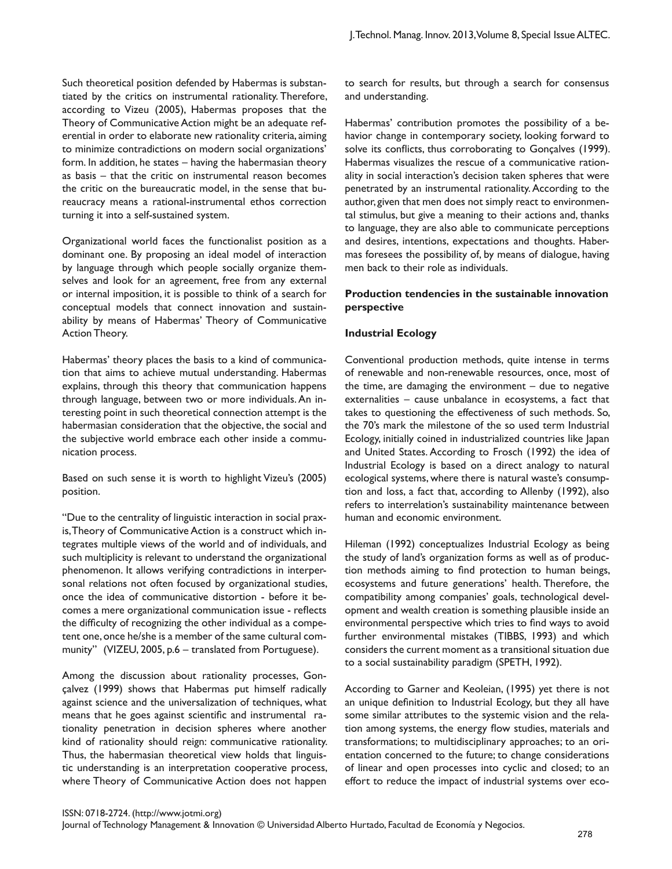Such theoretical position defended by Habermas is substantiated by the critics on instrumental rationality. Therefore, according to Vizeu (2005), Habermas proposes that the Theory of Communicative Action might be an adequate referential in order to elaborate new rationality criteria, aiming to minimize contradictions on modern social organizations' form. In addition, he states – having the habermasian theory as basis – that the critic on instrumental reason becomes the critic on the bureaucratic model, in the sense that bureaucracy means a rational-instrumental ethos correction turning it into a self-sustained system.

Organizational world faces the functionalist position as a dominant one. By proposing an ideal model of interaction by language through which people socially organize themselves and look for an agreement, free from any external or internal imposition, it is possible to think of a search for conceptual models that connect innovation and sustainability by means of Habermas' Theory of Communicative Action Theory.

Habermas' theory places the basis to a kind of communication that aims to achieve mutual understanding. Habermas explains, through this theory that communication happens through language, between two or more individuals. An interesting point in such theoretical connection attempt is the habermasian consideration that the objective, the social and the subjective world embrace each other inside a communication process.

Based on such sense it is worth to highlight Vizeu's (2005) position.

"Due to the centrality of linguistic interaction in social praxis, Theory of Communicative Action is a construct which integrates multiple views of the world and of individuals, and such multiplicity is relevant to understand the organizational phenomenon. It allows verifying contradictions in interpersonal relations not often focused by organizational studies, once the idea of communicative distortion - before it becomes a mere organizational communication issue - reflects the difficulty of recognizing the other individual as a competent one, once he/she is a member of the same cultural community'' (VIZEU, 2005, p.6 – translated from Portuguese).

Among the discussion about rationality processes, Gonçalvez (1999) shows that Habermas put himself radically against science and the universalization of techniques, what means that he goes against scientific and instrumental rationality penetration in decision spheres where another kind of rationality should reign: communicative rationality. Thus, the habermasian theoretical view holds that linguistic understanding is an interpretation cooperative process, where Theory of Communicative Action does not happen

to search for results, but through a search for consensus and understanding.

Habermas' contribution promotes the possibility of a behavior change in contemporary society, looking forward to solve its conflicts, thus corroborating to Gonçalves (1999). Habermas visualizes the rescue of a communicative rationality in social interaction's decision taken spheres that were penetrated by an instrumental rationality. According to the author, given that men does not simply react to environmental stimulus, but give a meaning to their actions and, thanks to language, they are also able to communicate perceptions and desires, intentions, expectations and thoughts. Habermas foresees the possibility of, by means of dialogue, having men back to their role as individuals.

## **Production tendencies in the sustainable innovation perspective**

## **Industrial Ecology**

Conventional production methods, quite intense in terms of renewable and non-renewable resources, once, most of the time, are damaging the environment  $-$  due to negative externalities – cause unbalance in ecosystems, a fact that takes to questioning the effectiveness of such methods. So, the 70's mark the milestone of the so used term Industrial Ecology, initially coined in industrialized countries like Japan and United States. According to Frosch (1992) the idea of Industrial Ecology is based on a direct analogy to natural ecological systems, where there is natural waste's consumption and loss, a fact that, according to Allenby (1992), also refers to interrelation's sustainability maintenance between human and economic environment.

Hileman (1992) conceptualizes Industrial Ecology as being the study of land's organization forms as well as of production methods aiming to find protection to human beings, ecosystems and future generations' health. Therefore, the compatibility among companies' goals, technological development and wealth creation is something plausible inside an environmental perspective which tries to find ways to avoid further environmental mistakes (TIBBS, 1993) and which considers the current moment as a transitional situation due to a social sustainability paradigm (SPETH, 1992).

According to Garner and Keoleian, (1995) yet there is not an unique definition to Industrial Ecology, but they all have some similar attributes to the systemic vision and the relation among systems, the energy flow studies, materials and transformations; to multidisciplinary approaches; to an orientation concerned to the future; to change considerations of linear and open processes into cyclic and closed; to an effort to reduce the impact of industrial systems over eco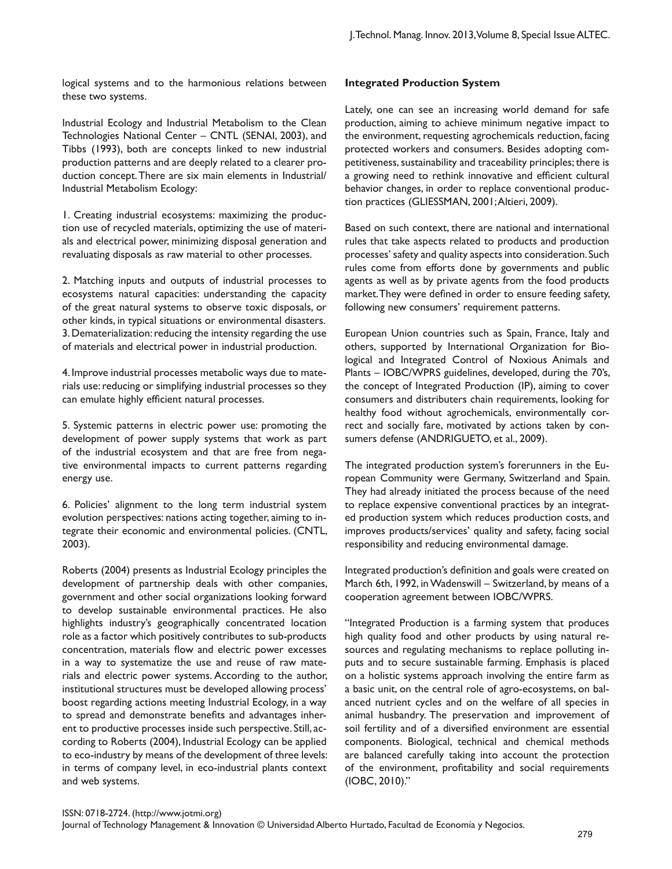logical systems and to the harmonious relations between these two systems.

Industrial Ecology and Industrial Metabolism to the Clean Technologies National Center – CNTL (SENAI, 2003), and Tibbs (1993), both are concepts linked to new industrial production patterns and are deeply related to a clearer production concept. There are six main elements in Industrial/ Industrial Metabolism Ecology:

1. Creating industrial ecosystems: maximizing the production use of recycled materials, optimizing the use of materials and electrical power, minimizing disposal generation and revaluating disposals as raw material to other processes.

2. Matching inputs and outputs of industrial processes to ecosystems natural capacities: understanding the capacity of the great natural systems to observe toxic disposals, or other kinds, in typical situations or environmental disasters. 3. Dematerialization: reducing the intensity regarding the use of materials and electrical power in industrial production.

4. Improve industrial processes metabolic ways due to materials use: reducing or simplifying industrial processes so they can emulate highly efficient natural processes.

5. Systemic patterns in electric power use: promoting the development of power supply systems that work as part of the industrial ecosystem and that are free from negative environmental impacts to current patterns regarding energy use.

6. Policies' alignment to the long term industrial system evolution perspectives: nations acting together, aiming to integrate their economic and environmental policies. (CNTL, 2003).

Roberts (2004) presents as Industrial Ecology principles the development of partnership deals with other companies, government and other social organizations looking forward to develop sustainable environmental practices. He also highlights industry's geographically concentrated location role as a factor which positively contributes to sub-products concentration, materials flow and electric power excesses in a way to systematize the use and reuse of raw materials and electric power systems. According to the author, institutional structures must be developed allowing process' boost regarding actions meeting Industrial Ecology, in a way to spread and demonstrate benefits and advantages inherent to productive processes inside such perspective. Still, according to Roberts (2004), Industrial Ecology can be applied to eco-industry by means of the development of three levels: in terms of company level, in eco-industrial plants context and web systems.

### **Integrated Production System**

Lately, one can see an increasing world demand for safe production, aiming to achieve minimum negative impact to the environment, requesting agrochemicals reduction, facing protected workers and consumers. Besides adopting competitiveness, sustainability and traceability principles; there is a growing need to rethink innovative and efficient cultural behavior changes, in order to replace conventional production practices (GLIESSMAN, 2001; Altieri, 2009).

Based on such context, there are national and international rules that take aspects related to products and production processes' safety and quality aspects into consideration. Such rules come from efforts done by governments and public agents as well as by private agents from the food products market. They were defined in order to ensure feeding safety, following new consumers' requirement patterns.

European Union countries such as Spain, France, Italy and others, supported by International Organization for Biological and Integrated Control of Noxious Animals and Plants – IOBC/WPRS guidelines, developed, during the 70's, the concept of Integrated Production (IP), aiming to cover consumers and distributers chain requirements, looking for healthy food without agrochemicals, environmentally correct and socially fare, motivated by actions taken by consumers defense (ANDRIGUETO, et al., 2009).

The integrated production system's forerunners in the European Community were Germany, Switzerland and Spain. They had already initiated the process because of the need to replace expensive conventional practices by an integrated production system which reduces production costs, and improves products/services' quality and safety, facing social responsibility and reducing environmental damage.

Integrated production's definition and goals were created on March 6th, 1992, in Wadenswill – Switzerland, by means of a cooperation agreement between IOBC/WPRS.

"Integrated Production is a farming system that produces high quality food and other products by using natural resources and regulating mechanisms to replace polluting inputs and to secure sustainable farming. Emphasis is placed on a holistic systems approach involving the entire farm as a basic unit, on the central role of agro-ecosystems, on balanced nutrient cycles and on the welfare of all species in animal husbandry. The preservation and improvement of soil fertility and of a diversified environment are essential components. Biological, technical and chemical methods are balanced carefully taking into account the protection of the environment, profitability and social requirements (IOBC, 2010)."

#### ISSN: 0718-2724. (http://www.jotmi.org)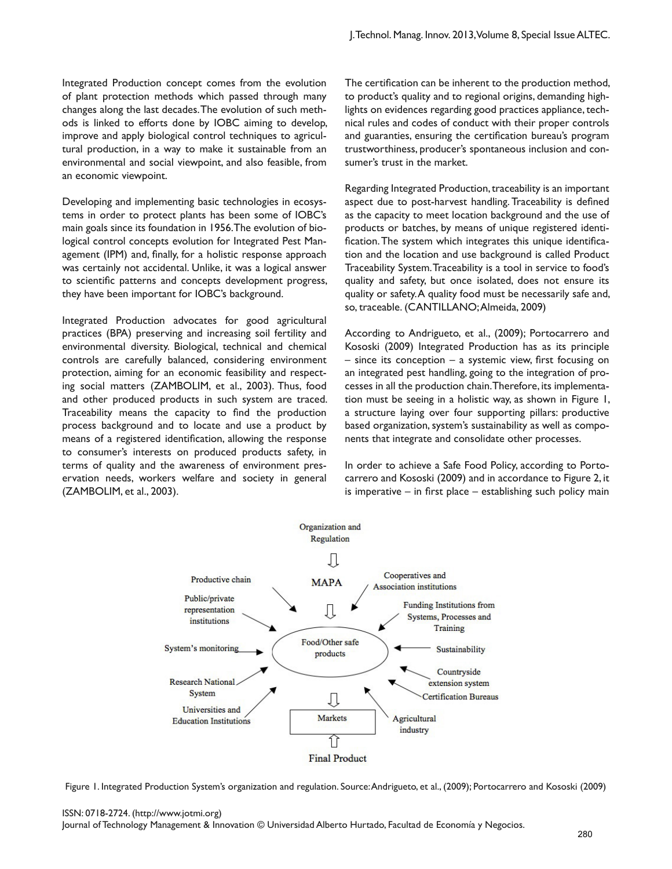Integrated Production concept comes from the evolution of plant protection methods which passed through many changes along the last decades. The evolution of such methods is linked to efforts done by IOBC aiming to develop, improve and apply biological control techniques to agricultural production, in a way to make it sustainable from an environmental and social viewpoint, and also feasible, from an economic viewpoint.

Developing and implementing basic technologies in ecosystems in order to protect plants has been some of IOBC's main goals since its foundation in 1956. The evolution of biological control concepts evolution for Integrated Pest Management (IPM) and, finally, for a holistic response approach was certainly not accidental. Unlike, it was a logical answer to scientific patterns and concepts development progress, they have been important for IOBC's background.

Integrated Production advocates for good agricultural practices (BPA) preserving and increasing soil fertility and environmental diversity. Biological, technical and chemical controls are carefully balanced, considering environment protection, aiming for an economic feasibility and respecting social matters (ZAMBOLIM, et al., 2003). Thus, food and other produced products in such system are traced. Traceability means the capacity to find the production process background and to locate and use a product by means of a registered identification, allowing the response to consumer's interests on produced products safety, in terms of quality and the awareness of environment preservation needs, workers welfare and society in general (ZAMBOLIM, et al., 2003).

The certification can be inherent to the production method, to product's quality and to regional origins, demanding highlights on evidences regarding good practices appliance, technical rules and codes of conduct with their proper controls and guaranties, ensuring the certification bureau's program trustworthiness, producer's spontaneous inclusion and consumer's trust in the market.

Regarding Integrated Production, traceability is an important aspect due to post-harvest handling. Traceability is defined as the capacity to meet location background and the use of products or batches, by means of unique registered identification. The system which integrates this unique identification and the location and use background is called Product Traceability System. Traceability is a tool in service to food's quality and safety, but once isolated, does not ensure its quality or safety. A quality food must be necessarily safe and, so, traceable. (CANTILLANO; Almeida, 2009)

According to Andrigueto, et al., (2009); Portocarrero and Kososki (2009) Integrated Production has as its principle – since its conception – a systemic view, first focusing on an integrated pest handling, going to the integration of processes in all the production chain. Therefore, its implementation must be seeing in a holistic way, as shown in Figure 1, a structure laying over four supporting pillars: productive based organization, system's sustainability as well as components that integrate and consolidate other processes.

In order to achieve a Safe Food Policy, according to Portocarrero and Kososki (2009) and in accordance to Figure 2, it is imperative – in first place – establishing such policy main



Figure 1. Integrated Production System's organization and regulation. Source: Andrigueto, et al., (2009); Portocarrero and Kososki (2009)

#### ISSN: 0718-2724. (http://www.jotmi.org)

Journal of Technology Management & Innovation © Universidad Alberto Hurtado, Facultad de Economía y Negocios.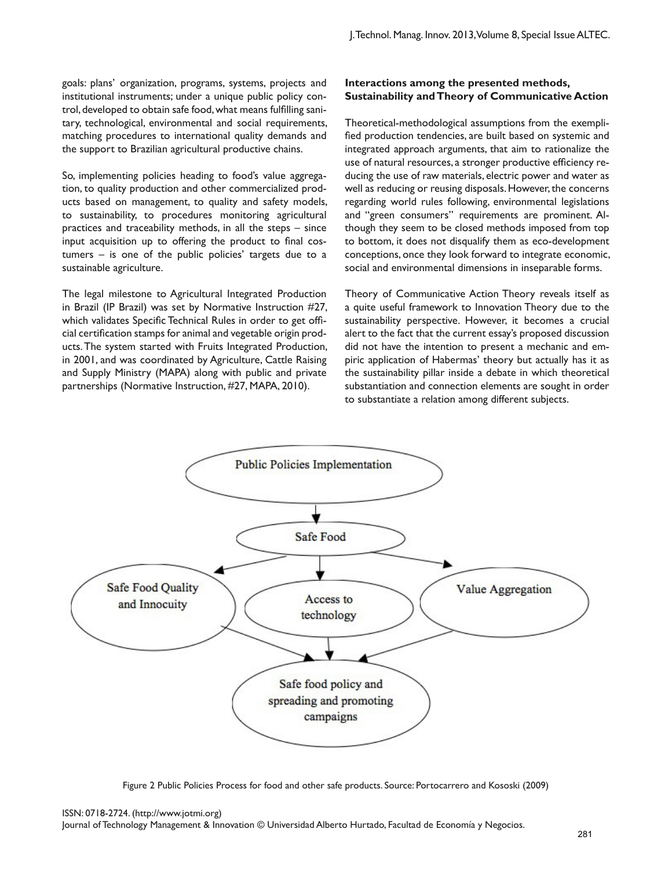goals: plans' organization, programs, systems, projects and institutional instruments; under a unique public policy control, developed to obtain safe food, what means fulfilling sanitary, technological, environmental and social requirements, matching procedures to international quality demands and the support to Brazilian agricultural productive chains.

So, implementing policies heading to food's value aggregation, to quality production and other commercialized products based on management, to quality and safety models, to sustainability, to procedures monitoring agricultural practices and traceability methods, in all the steps – since input acquisition up to offering the product to final costumers – is one of the public policies' targets due to a sustainable agriculture.

The legal milestone to Agricultural Integrated Production in Brazil (IP Brazil) was set by Normative Instruction #27, which validates Specific Technical Rules in order to get official certification stamps for animal and vegetable origin products. The system started with Fruits Integrated Production, in 2001, and was coordinated by Agriculture, Cattle Raising and Supply Ministry (MAPA) along with public and private partnerships (Normative Instruction, #27, MAPA, 2010).

## **Interactions among the presented methods, Sustainability and Theory of Communicative Action**

Theoretical-methodological assumptions from the exemplified production tendencies, are built based on systemic and integrated approach arguments, that aim to rationalize the use of natural resources, a stronger productive efficiency reducing the use of raw materials, electric power and water as well as reducing or reusing disposals. However, the concerns regarding world rules following, environmental legislations and "green consumers" requirements are prominent. Although they seem to be closed methods imposed from top to bottom, it does not disqualify them as eco-development conceptions, once they look forward to integrate economic, social and environmental dimensions in inseparable forms.

Theory of Communicative Action Theory reveals itself as a quite useful framework to Innovation Theory due to the sustainability perspective. However, it becomes a crucial alert to the fact that the current essay's proposed discussion did not have the intention to present a mechanic and empiric application of Habermas' theory but actually has it as the sustainability pillar inside a debate in which theoretical substantiation and connection elements are sought in order to substantiate a relation among different subjects.



Figure 2 Public Policies Process for food and other safe products. Source: Portocarrero and Kososki (2009)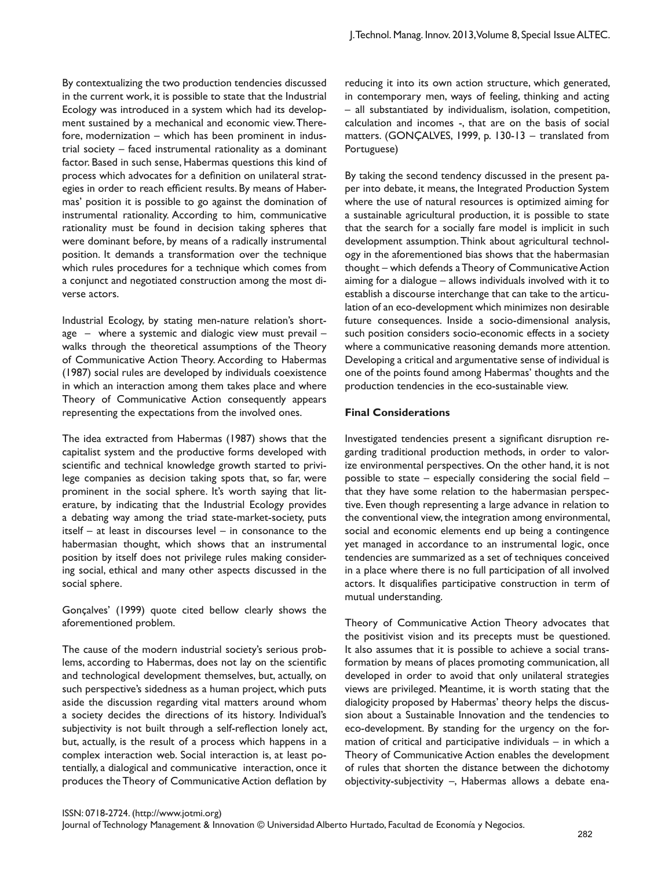By contextualizing the two production tendencies discussed in the current work, it is possible to state that the Industrial Ecology was introduced in a system which had its development sustained by a mechanical and economic view. Therefore, modernization – which has been prominent in industrial society – faced instrumental rationality as a dominant factor. Based in such sense, Habermas questions this kind of process which advocates for a definition on unilateral strategies in order to reach efficient results. By means of Habermas' position it is possible to go against the domination of instrumental rationality. According to him, communicative rationality must be found in decision taking spheres that were dominant before, by means of a radically instrumental position. It demands a transformation over the technique which rules procedures for a technique which comes from a conjunct and negotiated construction among the most diverse actors.

Industrial Ecology, by stating men-nature relation's shortage – where a systemic and dialogic view must prevail – walks through the theoretical assumptions of the Theory of Communicative Action Theory. According to Habermas (1987) social rules are developed by individuals coexistence in which an interaction among them takes place and where Theory of Communicative Action consequently appears representing the expectations from the involved ones.

The idea extracted from Habermas (1987) shows that the capitalist system and the productive forms developed with scientific and technical knowledge growth started to privilege companies as decision taking spots that, so far, were prominent in the social sphere. It's worth saying that literature, by indicating that the Industrial Ecology provides a debating way among the triad state-market-society, puts itself – at least in discourses level – in consonance to the habermasian thought, which shows that an instrumental position by itself does not privilege rules making considering social, ethical and many other aspects discussed in the social sphere.

Gonçalves' (1999) quote cited bellow clearly shows the aforementioned problem.

The cause of the modern industrial society's serious problems, according to Habermas, does not lay on the scientific and technological development themselves, but, actually, on such perspective's sidedness as a human project, which puts aside the discussion regarding vital matters around whom a society decides the directions of its history. Individual's subjectivity is not built through a self-reflection lonely act, but, actually, is the result of a process which happens in a complex interaction web. Social interaction is, at least potentially, a dialogical and communicative interaction, once it produces the Theory of Communicative Action deflation by

reducing it into its own action structure, which generated, in contemporary men, ways of feeling, thinking and acting – all substantiated by individualism, isolation, competition, calculation and incomes -, that are on the basis of social matters. (GONÇALVES, 1999, p. 130-13 – translated from Portuguese)

By taking the second tendency discussed in the present paper into debate, it means, the Integrated Production System where the use of natural resources is optimized aiming for a sustainable agricultural production, it is possible to state that the search for a socially fare model is implicit in such development assumption. Think about agricultural technology in the aforementioned bias shows that the habermasian thought – which defends a Theory of Communicative Action aiming for a dialogue – allows individuals involved with it to establish a discourse interchange that can take to the articulation of an eco-development which minimizes non desirable future consequences. Inside a socio-dimensional analysis, such position considers socio-economic effects in a society where a communicative reasoning demands more attention. Developing a critical and argumentative sense of individual is one of the points found among Habermas' thoughts and the production tendencies in the eco-sustainable view.

#### **Final Considerations**

Investigated tendencies present a significant disruption regarding traditional production methods, in order to valorize environmental perspectives. On the other hand, it is not possible to state – especially considering the social field – that they have some relation to the habermasian perspective. Even though representing a large advance in relation to the conventional view, the integration among environmental, social and economic elements end up being a contingence yet managed in accordance to an instrumental logic, once tendencies are summarized as a set of techniques conceived in a place where there is no full participation of all involved actors. It disqualifies participative construction in term of mutual understanding.

Theory of Communicative Action Theory advocates that the positivist vision and its precepts must be questioned. It also assumes that it is possible to achieve a social transformation by means of places promoting communication, all developed in order to avoid that only unilateral strategies views are privileged. Meantime, it is worth stating that the dialogicity proposed by Habermas' theory helps the discussion about a Sustainable Innovation and the tendencies to eco-development. By standing for the urgency on the formation of critical and participative individuals – in which a Theory of Communicative Action enables the development of rules that shorten the distance between the dichotomy objectivity-subjectivity –, Habermas allows a debate ena-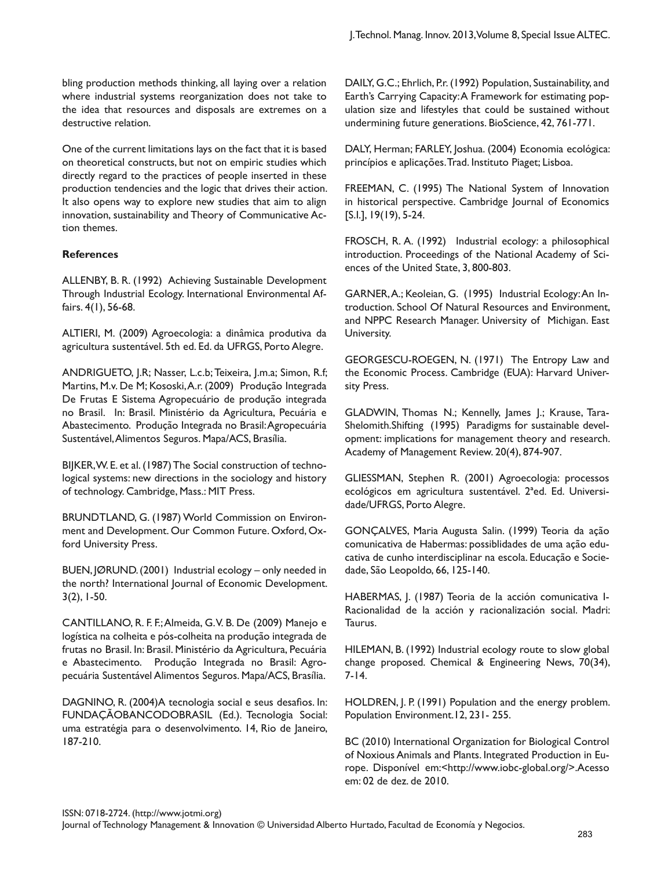bling production methods thinking, all laying over a relation where industrial systems reorganization does not take to the idea that resources and disposals are extremes on a destructive relation.

One of the current limitations lays on the fact that it is based on theoretical constructs, but not on empiric studies which directly regard to the practices of people inserted in these production tendencies and the logic that drives their action. It also opens way to explore new studies that aim to align innovation, sustainability and Theory of Communicative Action themes.

#### **References**

ALLENBY, B. R. (1992) Achieving Sustainable Development Through Industrial Ecology. International Environmental Affairs. 4(1), 56-68.

ALTIERI, M. (2009) Agroecologia: a dinâmica produtiva da agricultura sustentável. 5th ed. Ed. da UFRGS, Porto Alegre.

ANDRIGUETO, J.R; Nasser, L.c.b; Teixeira, J.m.a; Simon, R.f; Martins, M.v. De M; Kososki, A.r. (2009) Produção Integrada De Frutas E Sistema Agropecuário de produção integrada no Brasil. In: Brasil. Ministério da Agricultura, Pecuária e Abastecimento. Produção Integrada no Brasil: Agropecuária Sustentável, Alimentos Seguros. Mapa/ACS, Brasília.

BIJKER, W. E. et al. (1987) The Social construction of technological systems: new directions in the sociology and history of technology. Cambridge, Mass.: MIT Press.

BRUNDTLAND, G. (1987) World Commission on Environment and Development. Our Common Future. Oxford, Oxford University Press.

BUEN, JØRUND. (2001) Industrial ecology – only needed in the north? International Journal of Economic Development. 3(2), 1-50.

CANTILLANO, R. F. F.; Almeida, G. V. B. De (2009) Manejo e logística na colheita e pós-colheita na produção integrada de frutas no Brasil. In: Brasil. Ministério da Agricultura, Pecuária e Abastecimento. Produção Integrada no Brasil: Agropecuária Sustentável Alimentos Seguros. Mapa/ACS, Brasília.

DAGNINO, R. (2004)A tecnologia social e seus desafios. In: FUNDAÇÃOBANCODOBRASIL (Ed.). Tecnologia Social: uma estratégia para o desenvolvimento. 14, Rio de Janeiro, 187-210.

DAILY, G.C.; Ehrlich, P.r. (1992) Population, Sustainability, and Earth's Carrying Capacity: A Framework for estimating population size and lifestyles that could be sustained without undermining future generations. BioScience, 42, 761-771.

DALY, Herman; FARLEY, Joshua. (2004) Economia ecológica: princípios e aplicações. Trad. Instituto Piaget; Lisboa.

FREEMAN, C. (1995) The National System of Innovation in historical perspective. Cambridge Journal of Economics [S.I.], 19(19), 5-24.

FROSCH, R. A. (1992) Industrial ecology: a philosophical introduction. Proceedings of the National Academy of Sciences of the United State, 3, 800-803.

GARNER, A.; Keoleian, G. (1995) Industrial Ecology: An Introduction. School Of Natural Resources and Environment, and NPPC Research Manager. University of Michigan. East University.

GEORGESCU-ROEGEN, N. (1971) The Entropy Law and the Economic Process. Cambridge (EUA): Harvard University Press.

GLADWIN, Thomas N.; Kennelly, James J.; Krause, Tara-Shelomith.Shifting (1995) Paradigms for sustainable development: implications for management theory and research. Academy of Management Review. 20(4), 874-907.

GLIESSMAN, Stephen R. (2001) Agroecologia: processos ecológicos em agricultura sustentável. 2ªed. Ed. Universidade/UFRGS, Porto Alegre.

GONÇALVES, Maria Augusta Salin. (1999) Teoria da ação comunicativa de Habermas: possiblidades de uma ação educativa de cunho interdisciplinar na escola. Educação e Sociedade, São Leopoldo, 66, 125-140.

HABERMAS, J. (1987) Teoria de la acción comunicativa I-Racionalidad de la acción y racionalización social. Madri: Taurus.

HILEMAN, B. (1992) Industrial ecology route to slow global change proposed. Chemical & Engineering News, 70(34), 7-14.

HOLDREN, J. P. (1991) Population and the energy problem. Population Environment.12, 231- 255.

BC (2010) International Organization for Biological Control of Noxious Animals and Plants. Integrated Production in Europe. Disponível em:<http://www.iobc-global.org/>.Acesso em: 02 de dez. de 2010.